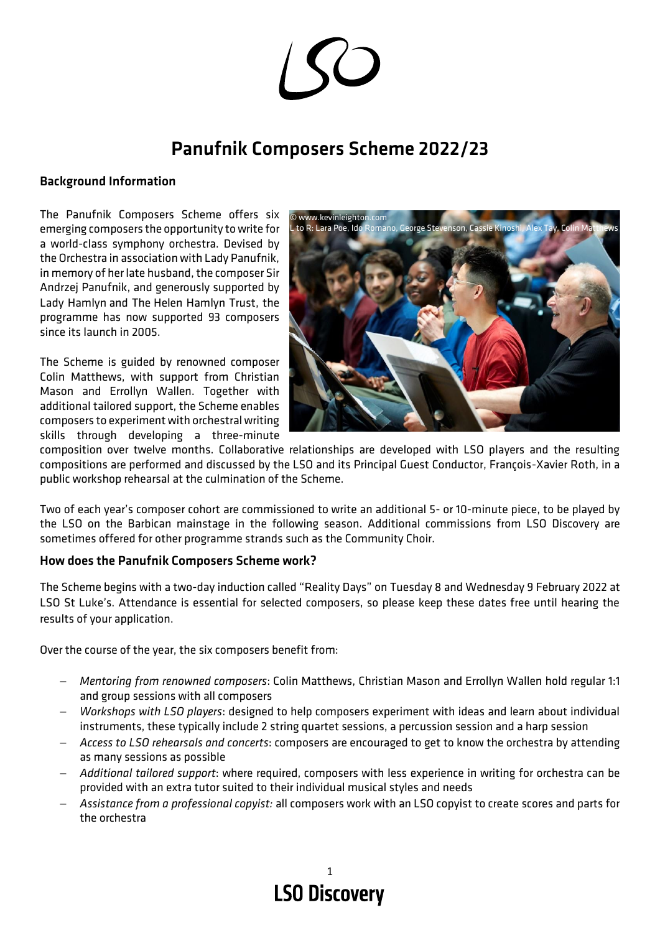# Panufnik Composers Scheme 2022/23

### Background Information

The Panufnik Composers Scheme offers six emerging composers the opportunity to write for a world-class symphony orchestra. Devised by the Orchestra in association with Lady Panufnik, in memory of her late husband, the composer Sir Andrzej Panufnik, and generously supported by Lady Hamlyn and The Helen Hamlyn Trust, the programme has now supported 93 composers since its launch in 2005.

The Scheme is guided by renowned composer Colin Matthews, with support from Christian Mason and Errollyn Wallen. Together with additional tailored support, the Scheme enables composers to experiment with orchestral writing skills through developing a three-minute



composition over twelve months. Collaborative relationships are developed with LSO players and the resulting compositions are performed and discussed by the LSO and its Principal Guest Conductor, François-Xavier Roth, in a public workshop rehearsal at the culmination of the Scheme.

Two of each year's composer cohort are commissioned to write an additional 5- or 10-minute piece, to be played by the LSO on the Barbican mainstage in the following season. Additional commissions from LSO Discovery are sometimes offered for other programme strands such as the Community Choir.

# How does the Panufnik Composers Scheme work?

The Scheme begins with a two-day induction called "Reality Days" on Tuesday 8 and Wednesday 9 February 2022 at LSO St Luke's. Attendance is essential for selected composers, so please keep these dates free until hearing the results of your application.

Over the course of the year, the six composers benefit from:

- − *Mentoring from renowned composers*: Colin Matthews, Christian Mason and Errollyn Wallen hold regular 1:1 and group sessions with all composers
- − *Workshops with LSO players*: designed to help composers experiment with ideas and learn about individual instruments, these typically include 2 string quartet sessions, a percussion session and a harp session
- − *Access to LSO rehearsals and concerts*: composers are encouraged to get to know the orchestra by attending as many sessions as possible
- − *Additional tailored support*: where required, composers with less experience in writing for orchestra can be provided with an extra tutor suited to their individual musical styles and needs
- − *Assistance from a professional copyist:* all composers work with an LSO copyist to create scores and parts for the orchestra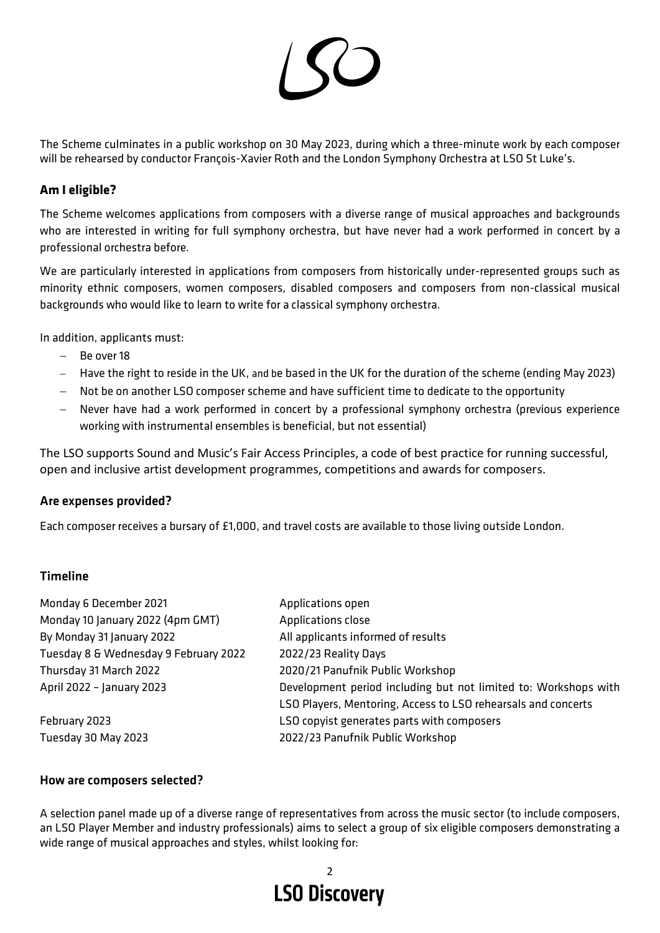

The Scheme culminates in a public workshop on 30 May 2023, during which a three-minute work by each composer will be rehearsed by conductor François-Xavier Roth and the London Symphony Orchestra at LSO St Luke's.

# **Am I eligible?**

The Scheme welcomes applications from composers with a diverse range of musical approaches and backgrounds who are interested in writing for full symphony orchestra, but have never had a work performed in concert by a professional orchestra before.

We are particularly interested in applications from composers from historically under-represented groups such as minority ethnic composers, women composers, disabled composers and composers from non-classical musical backgrounds who would like to learn to write for a classical symphony orchestra.

In addition, applicants must:

- − Be over 18
- − Have the right to reside in the UK, and be based in the UK for the duration of the scheme (ending May 2023)
- Not be on another LSO composer scheme and have sufficient time to dedicate to the opportunity
- − Never have had a work performed in concert by a professional symphony orchestra (previous experience working with instrumental ensembles is beneficial, but not essential)

The LSO supports Sound and Music's Fair Access Principles, a code of best practice for running successful, open and inclusive artist development programmes, competitions and awards for composers.

#### Are expenses provided?

Each composer receives a bursary of £1,000, and travel costs are available to those living outside London.

### Timeline

| Applications open                                               |
|-----------------------------------------------------------------|
| Applications close                                              |
| All applicants informed of results                              |
| 2022/23 Reality Days                                            |
| 2020/21 Panufnik Public Workshop                                |
| Development period including but not limited to: Workshops with |
| LSO Players, Mentoring, Access to LSO rehearsals and concerts   |
| LSO copyist generates parts with composers                      |
| 2022/23 Panufnik Public Workshop                                |
|                                                                 |

#### How are composers selected?

A selection panel made up of a diverse range of representatives from across the music sector (to include composers, an LSO Player Member and industry professionals) aims to select a group of six eligible composers demonstrating a wide range of musical approaches and styles, whilst looking for: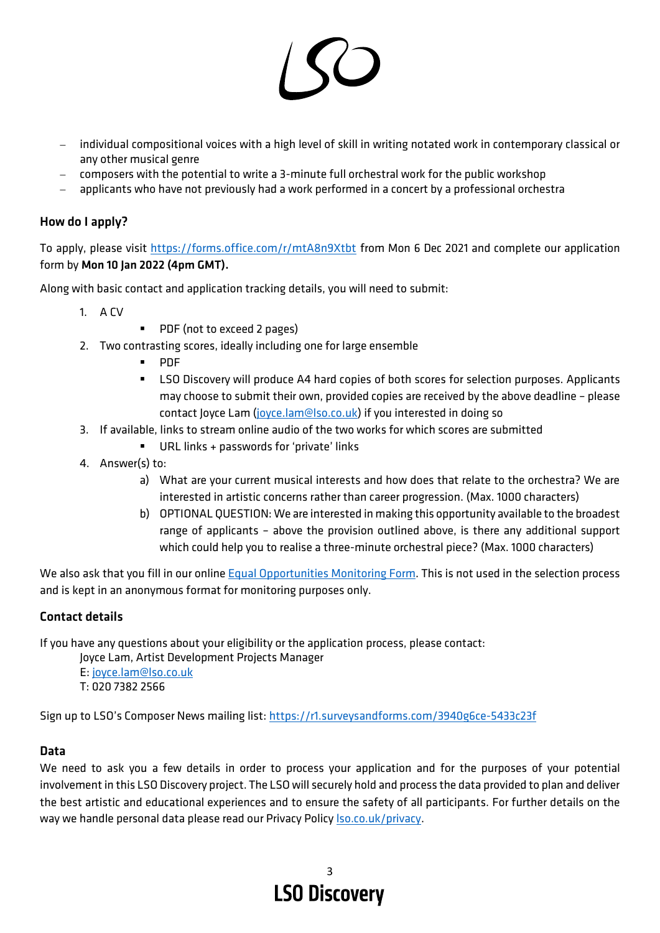

- − individual compositional voices with a high level of skill in writing notated work in contemporary classical or any other musical genre
- − composers with the potential to write a 3-minute full orchestral work for the public workshop
- − applicants who have not previously had a work performed in a concert by a professional orchestra

# How do I apply?

To apply, please visit<https://forms.office.com/r/mtA8n9Xtbt> from Mon 6 Dec 2021 and complete our application form by Mon 10 Jan 2022 (4pm GMT).

Along with basic contact and application tracking details, you will need to submit:

- 1  $\triangle$   $\cap$   $\vee$
- PDF (not to exceed 2 pages)
- 2. Two contrasting scores, ideally including one for large ensemble
	- PDF
	- **EXECO Discovery will produce A4 hard copies of both scores for selection purposes. Applicants** may choose to submit their own, provided copies are received by the above deadline – please contact Joyce Lam [\(joyce.lam@lso.co.uk\)](mailto:joyce.lam@lso.co.uk) if you interested in doing so
- 3. If available, links to stream online audio of the two works for which scores are submitted
	- URL links + passwords for 'private' links
- 4. Answer(s) to:
	- a) What are your current musical interests and how does that relate to the orchestra? We are interested in artistic concerns rather than career progression. (Max. 1000 characters)
	- b) OPTIONAL QUESTION: We are interested in making this opportunity available to the broadest range of applicants – above the provision outlined above, is there any additional support which could help you to realise a three-minute orchestral piece? (Max. 1000 characters)

We also ask that you fill in our online **Equal Opportunities Monitoring Form**. This is not used in the selection process and is kept in an anonymous format for monitoring purposes only.

# Contact details

If you have any questions about your eligibility or the application process, please contact:

Joyce Lam, Artist Development Projects Manager

- E: [joyce.lam@lso.co.uk](mailto:joyce.lam@lso.co.uk)
- T: 020 7382 2566

Sign up to LSO's Composer News mailing list: <https://r1.surveysandforms.com/3940g6ce-5433c23f>

# Data

We need to ask you a few details in order to process your application and for the purposes of your potential involvement in this LSO Discovery project. The LSO will securely hold and process the data provided to plan and deliver the best artistic and educational experiences and to ensure the safety of all participants. For further details on the way we handle personal data please read our Privacy Polic[y lso.co.uk/privacy.](https://lso.co.uk/privacy-policy-cookies.html)